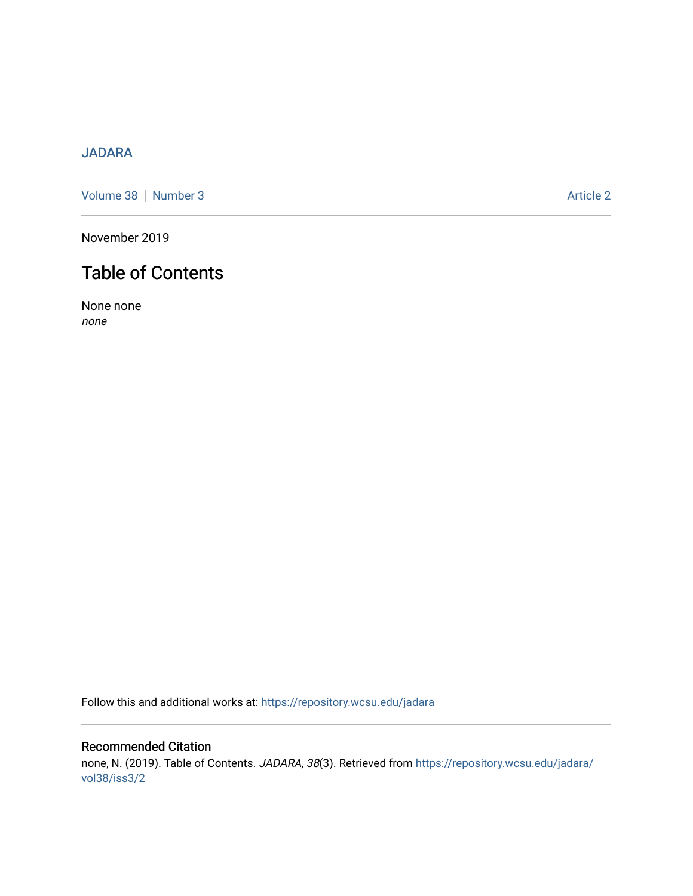# [JADARA](https://repository.wcsu.edu/jadara)

[Volume 38](https://repository.wcsu.edu/jadara/vol38) | [Number 3](https://repository.wcsu.edu/jadara/vol38/iss3) Article 2

November 2019

# Table of Contents

None none none

Follow this and additional works at: [https://repository.wcsu.edu/jadara](https://repository.wcsu.edu/jadara?utm_source=repository.wcsu.edu%2Fjadara%2Fvol38%2Fiss3%2F2&utm_medium=PDF&utm_campaign=PDFCoverPages)

Recommended Citation none, N. (2019). Table of Contents. JADARA, 38(3). Retrieved from [https://repository.wcsu.edu/jadara/](https://repository.wcsu.edu/jadara/vol38/iss3/2?utm_source=repository.wcsu.edu%2Fjadara%2Fvol38%2Fiss3%2F2&utm_medium=PDF&utm_campaign=PDFCoverPages) [vol38/iss3/2](https://repository.wcsu.edu/jadara/vol38/iss3/2?utm_source=repository.wcsu.edu%2Fjadara%2Fvol38%2Fiss3%2F2&utm_medium=PDF&utm_campaign=PDFCoverPages)